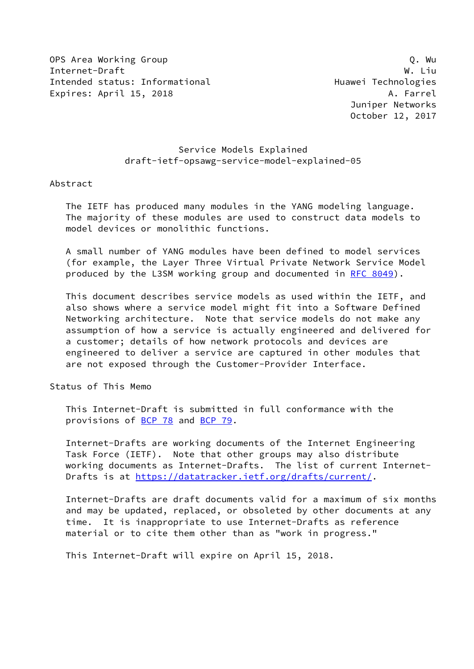OPS Area Working Group Q. Working Group Communication of the Communication of the Communication of the Communication of the Communication of the Communication of the Communication of the Communication of the Communication Internet-Draft W. Liu Intended status: Informational example and Huawei Technologies Expires: April 15, 2018 **A. Farrel** 

## Service Models Explained draft-ietf-opsawg-service-model-explained-05

#### Abstract

 The IETF has produced many modules in the YANG modeling language. The majority of these modules are used to construct data models to model devices or monolithic functions.

 A small number of YANG modules have been defined to model services (for example, the Layer Three Virtual Private Network Service Model produced by the L3SM working group and documented in [RFC 8049](https://datatracker.ietf.org/doc/pdf/rfc8049)).

 This document describes service models as used within the IETF, and also shows where a service model might fit into a Software Defined Networking architecture. Note that service models do not make any assumption of how a service is actually engineered and delivered for a customer; details of how network protocols and devices are engineered to deliver a service are captured in other modules that are not exposed through the Customer-Provider Interface.

Status of This Memo

 This Internet-Draft is submitted in full conformance with the provisions of [BCP 78](https://datatracker.ietf.org/doc/pdf/bcp78) and [BCP 79](https://datatracker.ietf.org/doc/pdf/bcp79).

 Internet-Drafts are working documents of the Internet Engineering Task Force (IETF). Note that other groups may also distribute working documents as Internet-Drafts. The list of current Internet- Drafts is at<https://datatracker.ietf.org/drafts/current/>.

 Internet-Drafts are draft documents valid for a maximum of six months and may be updated, replaced, or obsoleted by other documents at any time. It is inappropriate to use Internet-Drafts as reference material or to cite them other than as "work in progress."

This Internet-Draft will expire on April 15, 2018.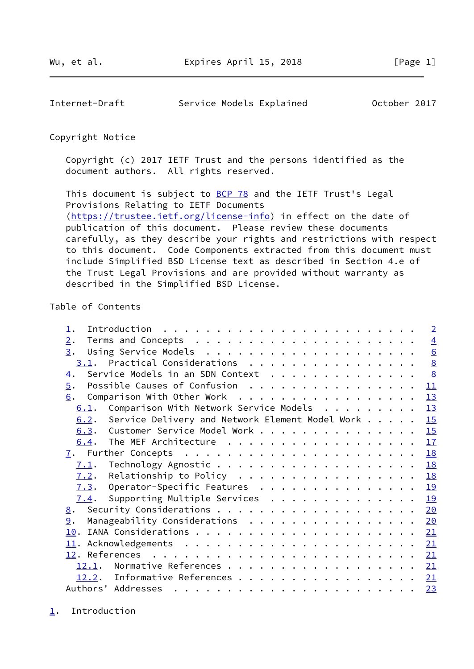<span id="page-1-1"></span>Internet-Draft Service Models Explained October 2017

## Copyright Notice

 Copyright (c) 2017 IETF Trust and the persons identified as the document authors. All rights reserved.

This document is subject to **[BCP 78](https://datatracker.ietf.org/doc/pdf/bcp78)** and the IETF Trust's Legal Provisions Relating to IETF Documents [\(https://trustee.ietf.org/license-info](https://trustee.ietf.org/license-info)) in effect on the date of publication of this document. Please review these documents carefully, as they describe your rights and restrictions with respect to this document. Code Components extracted from this document must include Simplified BSD License text as described in Section 4.e of the Trust Legal Provisions and are provided without warranty as described in the Simplified BSD License.

# Table of Contents

| Introduction $\ldots \ldots \ldots \ldots \ldots \ldots \ldots \ldots$             | $\overline{2}$   |
|------------------------------------------------------------------------------------|------------------|
| 2.                                                                                 | $\overline{4}$   |
| 3.                                                                                 | $6 \overline{6}$ |
| 3.1. Practical Considerations                                                      | 8                |
| Service Models in an SDN Context<br>4.                                             | $\underline{8}$  |
| Possible Causes of Confusion<br>$\overline{5}$ .                                   | 11               |
| Comparison With Other Work<br>6.                                                   | 13               |
| Comparison With Network Service Models<br>6.1.                                     | 13               |
| Service Delivery and Network Element Model Work<br>6.2.                            | 15               |
| 6.3. Customer Service Model Work                                                   | 15               |
| The MEF Architecture<br>6.4.                                                       | 17               |
| $\mathcal{I}.$ Further Concepts $\ldots \ldots \ldots \ldots \ldots \ldots \ldots$ | <b>18</b>        |
| Technology Agnostic 18<br>7.1.                                                     |                  |
| Relationship to Policy<br>7.2.                                                     | 18               |
| $\overline{7.3}$ . Operator-Specific Features                                      | 19               |
| Supporting Multiple Services<br>7.4.                                               | 19               |
| 8.                                                                                 | 20               |
| Manageability Considerations<br>9.                                                 | 20               |
|                                                                                    | 21               |
|                                                                                    | 21               |
|                                                                                    | 21               |
| 12.1.                                                                              | 21               |
| 12.2. Informative References                                                       | 21               |
| Authors' Addresses                                                                 | 23               |

<span id="page-1-0"></span>[1](#page-1-0). Introduction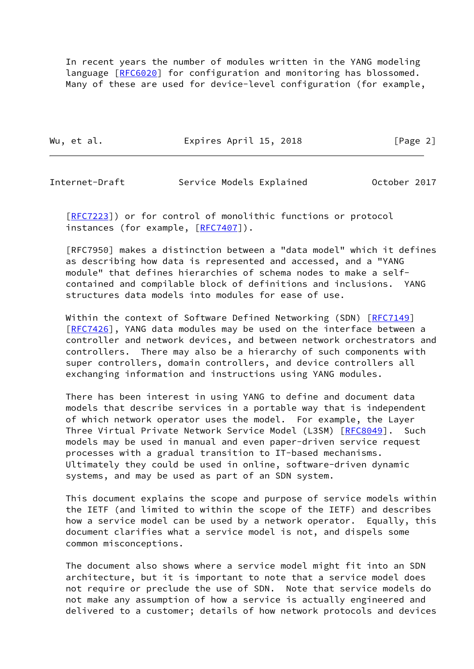In recent years the number of modules written in the YANG modeling language [\[RFC6020](https://datatracker.ietf.org/doc/pdf/rfc6020)] for configuration and monitoring has blossomed. Many of these are used for device-level configuration (for example,

Wu, et al. **Expires April 15, 2018** [Page 2]

Internet-Draft Service Models Explained October 2017

 [\[RFC7223](https://datatracker.ietf.org/doc/pdf/rfc7223)]) or for control of monolithic functions or protocol instances (for example, [\[RFC7407](https://datatracker.ietf.org/doc/pdf/rfc7407)]).

 [RFC7950] makes a distinction between a "data model" which it defines as describing how data is represented and accessed, and a "YANG module" that defines hierarchies of schema nodes to make a self contained and compilable block of definitions and inclusions. YANG structures data models into modules for ease of use.

Within the context of Software Defined Networking (SDN) [\[RFC7149](https://datatracker.ietf.org/doc/pdf/rfc7149)] [\[RFC7426](https://datatracker.ietf.org/doc/pdf/rfc7426)], YANG data modules may be used on the interface between a controller and network devices, and between network orchestrators and controllers. There may also be a hierarchy of such components with super controllers, domain controllers, and device controllers all exchanging information and instructions using YANG modules.

 There has been interest in using YANG to define and document data models that describe services in a portable way that is independent of which network operator uses the model. For example, the Layer Three Virtual Private Network Service Model (L3SM) [[RFC8049\]](https://datatracker.ietf.org/doc/pdf/rfc8049). Such models may be used in manual and even paper-driven service request processes with a gradual transition to IT-based mechanisms. Ultimately they could be used in online, software-driven dynamic systems, and may be used as part of an SDN system.

 This document explains the scope and purpose of service models within the IETF (and limited to within the scope of the IETF) and describes how a service model can be used by a network operator. Equally, this document clarifies what a service model is not, and dispels some common misconceptions.

 The document also shows where a service model might fit into an SDN architecture, but it is important to note that a service model does not require or preclude the use of SDN. Note that service models do not make any assumption of how a service is actually engineered and delivered to a customer; details of how network protocols and devices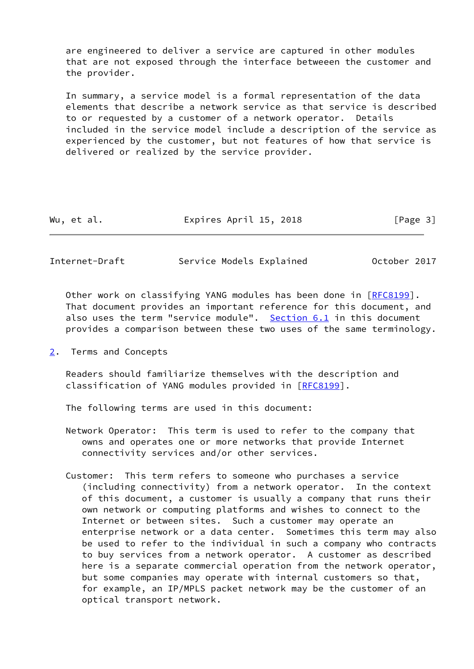are engineered to deliver a service are captured in other modules that are not exposed through the interface betweeen the customer and the provider.

 In summary, a service model is a formal representation of the data elements that describe a network service as that service is described to or requested by a customer of a network operator. Details included in the service model include a description of the service as experienced by the customer, but not features of how that service is delivered or realized by the service provider.

| Expires April 15, 2018<br>Wu, et al. | [Page 3] |
|--------------------------------------|----------|
|--------------------------------------|----------|

<span id="page-3-1"></span>Internet-Draft Service Models Explained October 2017

 Other work on classifying YANG modules has been done in [\[RFC8199](https://datatracker.ietf.org/doc/pdf/rfc8199)]. That document provides an important reference for this document, and also uses the term "service module". [Section 6.1](#page-13-2) in this document provides a comparison between these two uses of the same terminology.

<span id="page-3-0"></span>[2](#page-3-0). Terms and Concepts

 Readers should familiarize themselves with the description and classification of YANG modules provided in [[RFC8199\]](https://datatracker.ietf.org/doc/pdf/rfc8199).

The following terms are used in this document:

- Network Operator: This term is used to refer to the company that owns and operates one or more networks that provide Internet connectivity services and/or other services.
- Customer: This term refers to someone who purchases a service (including connectivity) from a network operator. In the context of this document, a customer is usually a company that runs their own network or computing platforms and wishes to connect to the Internet or between sites. Such a customer may operate an enterprise network or a data center. Sometimes this term may also be used to refer to the individual in such a company who contracts to buy services from a network operator. A customer as described here is a separate commercial operation from the network operator, but some companies may operate with internal customers so that, for example, an IP/MPLS packet network may be the customer of an optical transport network.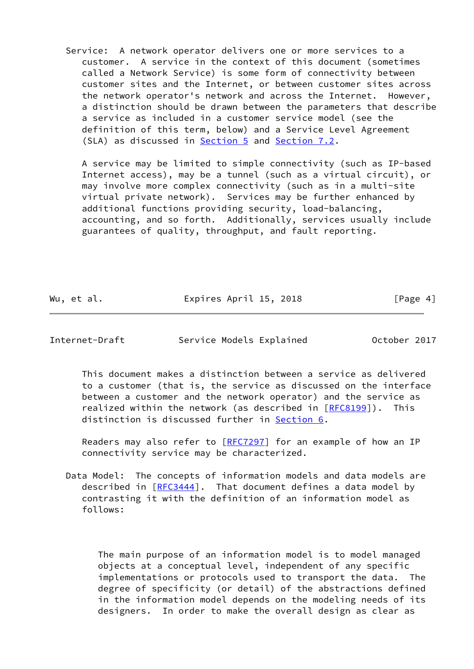Service: A network operator delivers one or more services to a customer. A service in the context of this document (sometimes called a Network Service) is some form of connectivity between customer sites and the Internet, or between customer sites across the network operator's network and across the Internet. However, a distinction should be drawn between the parameters that describe a service as included in a customer service model (see the definition of this term, below) and a Service Level Agreement (SLA) as discussed in **Section 5** and **[Section 7.2](#page-19-3)**.

 A service may be limited to simple connectivity (such as IP-based Internet access), may be a tunnel (such as a virtual circuit), or may involve more complex connectivity (such as in a multi-site virtual private network). Services may be further enhanced by additional functions providing security, load-balancing, accounting, and so forth. Additionally, services usually include guarantees of quality, throughput, and fault reporting.

Wu, et al. **Expires April 15, 2018** [Page 4]

Internet-Draft Service Models Explained October 2017

 This document makes a distinction between a service as delivered to a customer (that is, the service as discussed on the interface between a customer and the network operator) and the service as realized within the network (as described in [\[RFC8199](https://datatracker.ietf.org/doc/pdf/rfc8199)]). This distinction is discussed further in [Section 6.](#page-13-0)

Readers may also refer to  $[REC 7297]$  for an example of how an IP connectivity service may be characterized.

 Data Model: The concepts of information models and data models are described in [\[RFC3444](https://datatracker.ietf.org/doc/pdf/rfc3444)]. That document defines a data model by contrasting it with the definition of an information model as follows:

 The main purpose of an information model is to model managed objects at a conceptual level, independent of any specific implementations or protocols used to transport the data. The degree of specificity (or detail) of the abstractions defined in the information model depends on the modeling needs of its designers. In order to make the overall design as clear as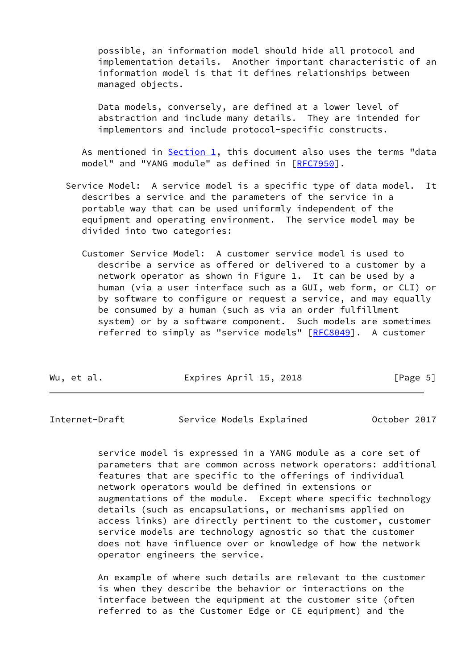possible, an information model should hide all protocol and implementation details. Another important characteristic of an information model is that it defines relationships between managed objects.

 Data models, conversely, are defined at a lower level of abstraction and include many details. They are intended for implementors and include protocol-specific constructs.

As mentioned in  $Section 1$ , this document also uses the terms "data model" and "YANG module" as defined in [[RFC7950](https://datatracker.ietf.org/doc/pdf/rfc7950)].

- Service Model: A service model is a specific type of data model. It describes a service and the parameters of the service in a portable way that can be used uniformly independent of the equipment and operating environment. The service model may be divided into two categories:
	- Customer Service Model: A customer service model is used to describe a service as offered or delivered to a customer by a network operator as shown in Figure 1. It can be used by a human (via a user interface such as a GUI, web form, or CLI) or by software to configure or request a service, and may equally be consumed by a human (such as via an order fulfillment system) or by a software component. Such models are sometimes referred to simply as "service models" [\[RFC8049](https://datatracker.ietf.org/doc/pdf/rfc8049)]. A customer

| Expires April 15, 2018<br>Wu, et al. | [Page 5] |  |  |  |  |
|--------------------------------------|----------|--|--|--|--|
|--------------------------------------|----------|--|--|--|--|

<span id="page-5-0"></span>Internet-Draft Service Models Explained October 2017

 service model is expressed in a YANG module as a core set of parameters that are common across network operators: additional features that are specific to the offerings of individual network operators would be defined in extensions or augmentations of the module. Except where specific technology details (such as encapsulations, or mechanisms applied on access links) are directly pertinent to the customer, customer service models are technology agnostic so that the customer does not have influence over or knowledge of how the network operator engineers the service.

 An example of where such details are relevant to the customer is when they describe the behavior or interactions on the interface between the equipment at the customer site (often referred to as the Customer Edge or CE equipment) and the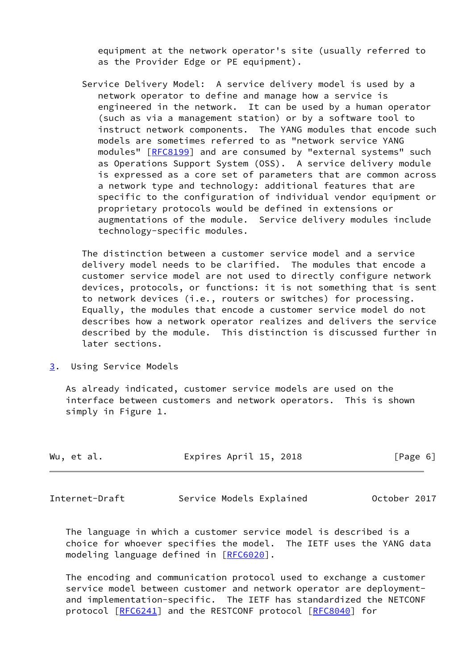equipment at the network operator's site (usually referred to as the Provider Edge or PE equipment).

 Service Delivery Model: A service delivery model is used by a network operator to define and manage how a service is engineered in the network. It can be used by a human operator (such as via a management station) or by a software tool to instruct network components. The YANG modules that encode such models are sometimes referred to as "network service YANG modules" [\[RFC8199](https://datatracker.ietf.org/doc/pdf/rfc8199)] and are consumed by "external systems" such as Operations Support System (OSS). A service delivery module is expressed as a core set of parameters that are common across a network type and technology: additional features that are specific to the configuration of individual vendor equipment or proprietary protocols would be defined in extensions or augmentations of the module. Service delivery modules include technology-specific modules.

 The distinction between a customer service model and a service delivery model needs to be clarified. The modules that encode a customer service model are not used to directly configure network devices, protocols, or functions: it is not something that is sent to network devices (i.e., routers or switches) for processing. Equally, the modules that encode a customer service model do not describes how a network operator realizes and delivers the service described by the module. This distinction is discussed further in later sections.

<span id="page-6-0"></span>[3](#page-6-0). Using Service Models

 As already indicated, customer service models are used on the interface between customers and network operators. This is shown simply in Figure 1.

| Wu, et al. | Expires April 15, 2018 | [Page 6] |
|------------|------------------------|----------|
|            |                        |          |

Internet-Draft Service Models Explained October 2017

 The language in which a customer service model is described is a choice for whoever specifies the model. The IETF uses the YANG data modeling language defined in [\[RFC6020](https://datatracker.ietf.org/doc/pdf/rfc6020)].

 The encoding and communication protocol used to exchange a customer service model between customer and network operator are deployment and implementation-specific. The IETF has standardized the NETCONF protocol [\[RFC6241](https://datatracker.ietf.org/doc/pdf/rfc6241)] and the RESTCONF protocol [\[RFC8040](https://datatracker.ietf.org/doc/pdf/rfc8040)] for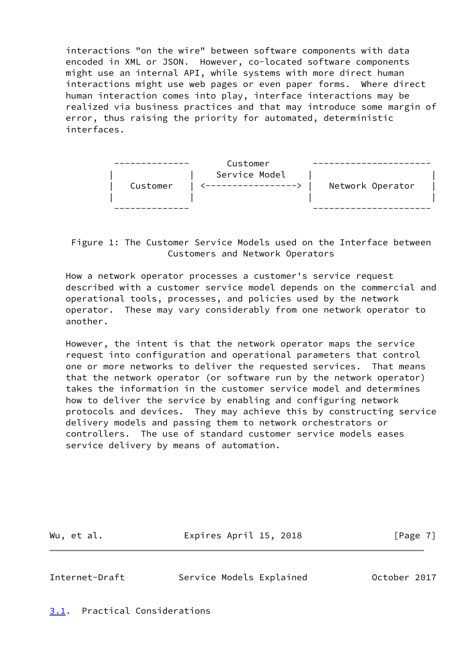interactions "on the wire" between software components with data encoded in XML or JSON. However, co-located software components might use an internal API, while systems with more direct human interactions might use web pages or even paper forms. Where direct human interaction comes into play, interface interactions may be realized via business practices and that may introduce some margin of error, thus raising the priority for automated, deterministic interfaces.



 Figure 1: The Customer Service Models used on the Interface between Customers and Network Operators

 How a network operator processes a customer's service request described with a customer service model depends on the commercial and operational tools, processes, and policies used by the network operator. These may vary considerably from one network operator to another.

 However, the intent is that the network operator maps the service request into configuration and operational parameters that control one or more networks to deliver the requested services. That means that the network operator (or software run by the network operator) takes the information in the customer service model and determines how to deliver the service by enabling and configuring network protocols and devices. They may achieve this by constructing service delivery models and passing them to network orchestrators or controllers. The use of standard customer service models eases service delivery by means of automation.

Wu, et al. **Expires April 15, 2018** [Page 7]

<span id="page-7-1"></span>Internet-Draft Service Models Explained October 2017

<span id="page-7-0"></span>[3.1](#page-7-0). Practical Considerations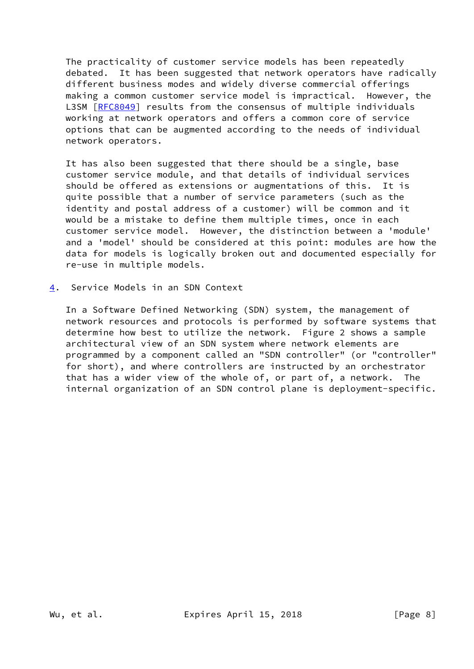The practicality of customer service models has been repeatedly debated. It has been suggested that network operators have radically different business modes and widely diverse commercial offerings making a common customer service model is impractical. However, the L3SM [\[RFC8049](https://datatracker.ietf.org/doc/pdf/rfc8049)] results from the consensus of multiple individuals working at network operators and offers a common core of service options that can be augmented according to the needs of individual network operators.

 It has also been suggested that there should be a single, base customer service module, and that details of individual services should be offered as extensions or augmentations of this. It is quite possible that a number of service parameters (such as the identity and postal address of a customer) will be common and it would be a mistake to define them multiple times, once in each customer service model. However, the distinction between a 'module' and a 'model' should be considered at this point: modules are how the data for models is logically broken out and documented especially for re-use in multiple models.

<span id="page-8-0"></span>[4](#page-8-0). Service Models in an SDN Context

 In a Software Defined Networking (SDN) system, the management of network resources and protocols is performed by software systems that determine how best to utilize the network. Figure 2 shows a sample architectural view of an SDN system where network elements are programmed by a component called an "SDN controller" (or "controller" for short), and where controllers are instructed by an orchestrator that has a wider view of the whole of, or part of, a network. The internal organization of an SDN control plane is deployment-specific.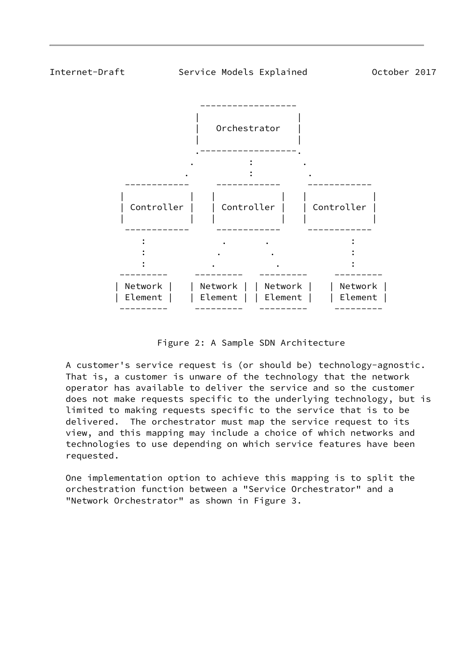

Figure 2: A Sample SDN Architecture

 A customer's service request is (or should be) technology-agnostic. That is, a customer is unware of the technology that the network operator has available to deliver the service and so the customer does not make requests specific to the underlying technology, but is limited to making requests specific to the service that is to be delivered. The orchestrator must map the service request to its view, and this mapping may include a choice of which networks and technologies to use depending on which service features have been requested.

 One implementation option to achieve this mapping is to split the orchestration function between a "Service Orchestrator" and a "Network Orchestrator" as shown in Figure 3.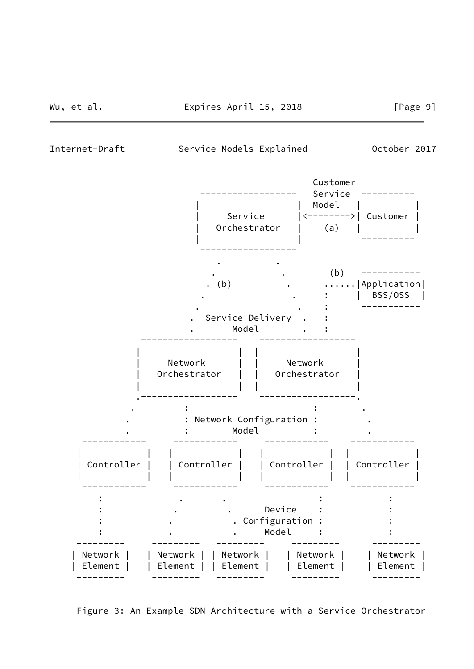Internet-Draft Service Models Explained October 2017



Figure 3: An Example SDN Architecture with a Service Orchestrator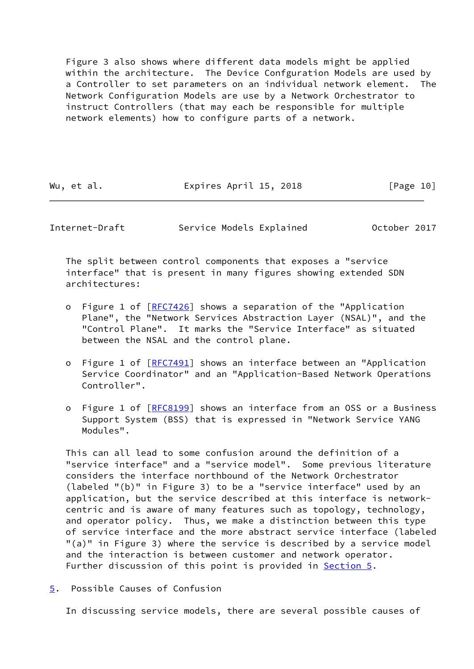Figure 3 also shows where different data models might be applied within the architecture. The Device Confguration Models are used by a Controller to set parameters on an individual network element. The Network Configuration Models are use by a Network Orchestrator to instruct Controllers (that may each be responsible for multiple network elements) how to configure parts of a network.

| Wu, et al. | Expires April 15, 2018 | [Page 10] |
|------------|------------------------|-----------|
|            |                        |           |

<span id="page-11-1"></span>Internet-Draft Service Models Explained October 2017

 The split between control components that exposes a "service interface" that is present in many figures showing extended SDN architectures:

- o Figure 1 of [\[RFC7426](https://datatracker.ietf.org/doc/pdf/rfc7426)] shows a separation of the "Application Plane", the "Network Services Abstraction Layer (NSAL)", and the "Control Plane". It marks the "Service Interface" as situated between the NSAL and the control plane.
- o Figure 1 of [\[RFC7491](https://datatracker.ietf.org/doc/pdf/rfc7491)] shows an interface between an "Application Service Coordinator" and an "Application-Based Network Operations Controller".
- o Figure 1 of [\[RFC8199](https://datatracker.ietf.org/doc/pdf/rfc8199)] shows an interface from an OSS or a Business Support System (BSS) that is expressed in "Network Service YANG Modules".

 This can all lead to some confusion around the definition of a "service interface" and a "service model". Some previous literature considers the interface northbound of the Network Orchestrator (labeled "(b)" in Figure 3) to be a "service interface" used by an application, but the service described at this interface is network centric and is aware of many features such as topology, technology, and operator policy. Thus, we make a distinction between this type of service interface and the more abstract service interface (labeled "(a)" in Figure 3) where the service is described by a service model and the interaction is between customer and network operator. Further discussion of this point is provided in **Section 5.** 

<span id="page-11-0"></span>[5](#page-11-0). Possible Causes of Confusion

In discussing service models, there are several possible causes of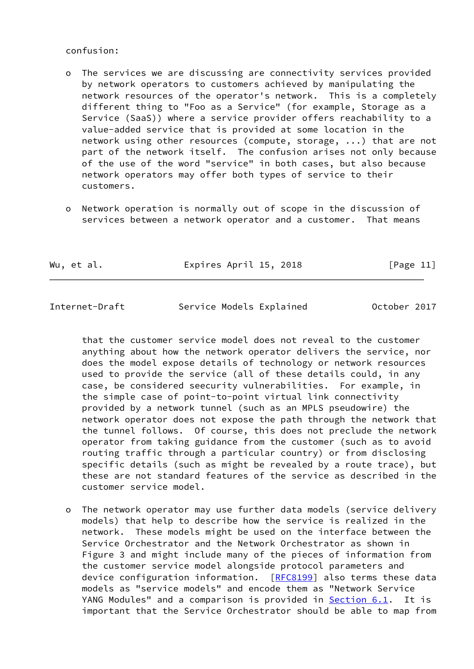#### confusion:

- o The services we are discussing are connectivity services provided by network operators to customers achieved by manipulating the network resources of the operator's network. This is a completely different thing to "Foo as a Service" (for example, Storage as a Service (SaaS)) where a service provider offers reachability to a value-added service that is provided at some location in the network using other resources (compute, storage, ...) that are not part of the network itself. The confusion arises not only because of the use of the word "service" in both cases, but also because network operators may offer both types of service to their customers.
- o Network operation is normally out of scope in the discussion of services between a network operator and a customer. That means

Wu, et al. **Expires April 15, 2018** [Page 11]

Internet-Draft Service Models Explained October 2017

 that the customer service model does not reveal to the customer anything about how the network operator delivers the service, nor does the model expose details of technology or network resources used to provide the service (all of these details could, in any case, be considered seecurity vulnerabilities. For example, in the simple case of point-to-point virtual link connectivity provided by a network tunnel (such as an MPLS pseudowire) the network operator does not expose the path through the network that the tunnel follows. Of course, this does not preclude the network operator from taking guidance from the customer (such as to avoid routing traffic through a particular country) or from disclosing specific details (such as might be revealed by a route trace), but these are not standard features of the service as described in the customer service model.

 o The network operator may use further data models (service delivery models) that help to describe how the service is realized in the network. These models might be used on the interface between the Service Orchestrator and the Network Orchestrator as shown in Figure 3 and might include many of the pieces of information from the customer service model alongside protocol parameters and device configuration information. [[RFC8199](https://datatracker.ietf.org/doc/pdf/rfc8199)] also terms these data models as "service models" and encode them as "Network Service YANG Modules" and a comparison is provided in [Section 6.1](#page-13-2). It is important that the Service Orchestrator should be able to map from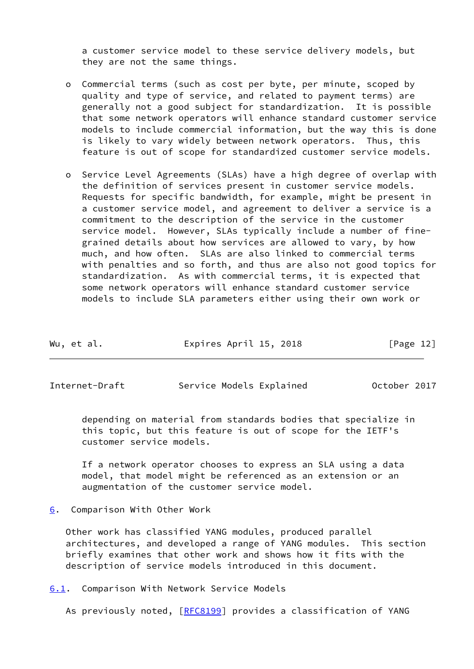a customer service model to these service delivery models, but they are not the same things.

- o Commercial terms (such as cost per byte, per minute, scoped by quality and type of service, and related to payment terms) are generally not a good subject for standardization. It is possible that some network operators will enhance standard customer service models to include commercial information, but the way this is done is likely to vary widely between network operators. Thus, this feature is out of scope for standardized customer service models.
- o Service Level Agreements (SLAs) have a high degree of overlap with the definition of services present in customer service models. Requests for specific bandwidth, for example, might be present in a customer service model, and agreement to deliver a service is a commitment to the description of the service in the customer service model. However, SLAs typically include a number of fine grained details about how services are allowed to vary, by how much, and how often. SLAs are also linked to commercial terms with penalties and so forth, and thus are also not good topics for standardization. As with commercial terms, it is expected that some network operators will enhance standard customer service models to include SLA parameters either using their own work or

| Expires April 15, 2018<br>Wu, et al. | [Page 12] |
|--------------------------------------|-----------|
|--------------------------------------|-----------|

<span id="page-13-1"></span>Internet-Draft Service Models Explained October 2017

 depending on material from standards bodies that specialize in this topic, but this feature is out of scope for the IETF's customer service models.

 If a network operator chooses to express an SLA using a data model, that model might be referenced as an extension or an augmentation of the customer service model.

<span id="page-13-0"></span>[6](#page-13-0). Comparison With Other Work

 Other work has classified YANG modules, produced parallel architectures, and developed a range of YANG modules. This section briefly examines that other work and shows how it fits with the description of service models introduced in this document.

<span id="page-13-2"></span>[6.1](#page-13-2). Comparison With Network Service Models

As previously noted, [\[RFC8199](https://datatracker.ietf.org/doc/pdf/rfc8199)] provides a classification of YANG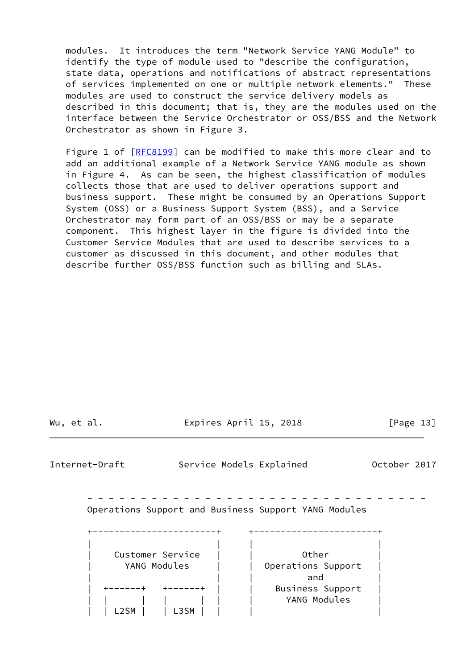modules. It introduces the term "Network Service YANG Module" to identify the type of module used to "describe the configuration, state data, operations and notifications of abstract representations of services implemented on one or multiple network elements." These modules are used to construct the service delivery models as described in this document; that is, they are the modules used on the interface between the Service Orchestrator or OSS/BSS and the Network Orchestrator as shown in Figure 3.

Figure 1 of [\[RFC8199](https://datatracker.ietf.org/doc/pdf/rfc8199)] can be modified to make this more clear and to add an additional example of a Network Service YANG module as shown in Figure 4. As can be seen, the highest classification of modules collects those that are used to deliver operations support and business support. These might be consumed by an Operations Support System (OSS) or a Business Support System (BSS), and a Service Orchestrator may form part of an OSS/BSS or may be a separate component. This highest layer in the figure is divided into the Customer Service Modules that are used to describe services to a customer as discussed in this document, and other modules that describe further OSS/BSS function such as billing and SLAs.

Wu, et al. **Expires April 15, 2018** [Page 13]

Internet-Draft Service Models Explained October 2017

 - - - - - - - - - - - - - - - - - - - - - - - - - - - - - - - - Operations Support and Business Support YANG Modules

| Customer Service | Other              |
|------------------|--------------------|
| YANG Modules     | Operations Support |
|                  | and                |
|                  | Business Support   |
|                  | YANG Modules       |
|                  |                    |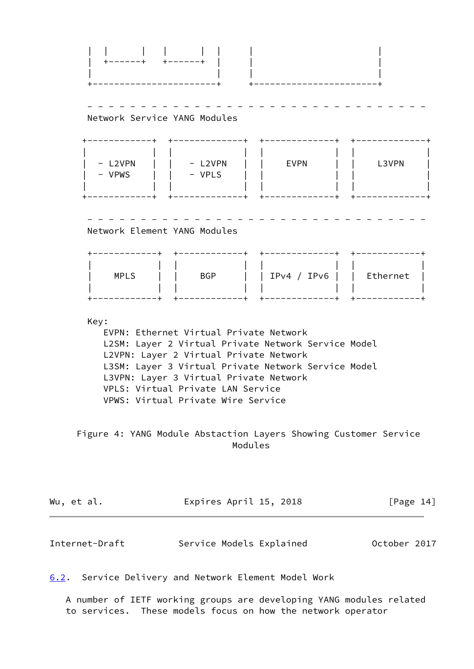| | | | | | | | | +------+ +------+ | | | | | | | +-----------------------+ +-----------------------+ - - - - - - - - - - - - - - - - - - - - - - - - - - - - - - - - Network Service YANG Modules +------------+ +-------------+ +-------------+ +-------------+ | | | | | | | | | - L2VPN | | - L2VPN | | EVPN | | L3VPN | | - VPWS | | - VPLS | | | | | | | | | | +------------+ +-------------+ +-------------+ +-------------+ - - - - - - - - - - - - - - - - - - - - - - - - - - - - - - - - Network Element YANG Modules +------------+ +------------+ +-------------+ +------------+ | | | | | | | | | MPLS | | BGP | | IPv4 / IPv6 | | Ethernet | | | | | | | | | +------------+ +------------+ +-------------+ +------------+ Key: EVPN: Ethernet Virtual Private Network L2SM: Layer 2 Virtual Private Network Service Model L2VPN: Layer 2 Virtual Private Network L3SM: Layer 3 Virtual Private Network Service Model L3VPN: Layer 3 Virtual Private Network VPLS: Virtual Private LAN Service VPWS: Virtual Private Wire Service Figure 4: YANG Module Abstaction Layers Showing Customer Service Modules Wu, et al. **Expires April 15, 2018** [Page 14] Internet-Draft Service Models Explained October 2017

<span id="page-15-1"></span><span id="page-15-0"></span>[6.2](#page-15-0). Service Delivery and Network Element Model Work

 A number of IETF working groups are developing YANG modules related to services. These models focus on how the network operator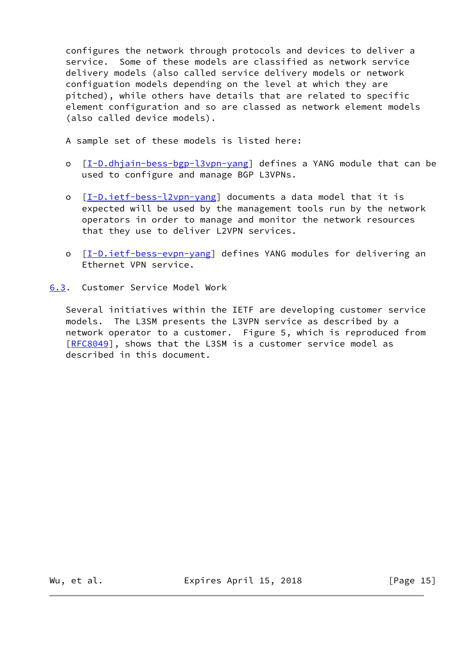configures the network through protocols and devices to deliver a service. Some of these models are classified as network service delivery models (also called service delivery models or network configuation models depending on the level at which they are pitched), while others have details that are related to specific element configuration and so are classed as network element models (also called device models).

A sample set of these models is listed here:

- o [[I-D.dhjain-bess-bgp-l3vpn-yang](#page-23-3)] defines a YANG module that can be used to configure and manage BGP L3VPNs.
- o [[I-D.ietf-bess-l2vpn-yang\]](#page-24-1) documents a data model that it is expected will be used by the management tools run by the network operators in order to manage and monitor the network resources that they use to deliver L2VPN services.
- o [[I-D.ietf-bess-evpn-yang\]](#page-23-4) defines YANG modules for delivering an Ethernet VPN service.
- <span id="page-16-0"></span>[6.3](#page-16-0). Customer Service Model Work

 Several initiatives within the IETF are developing customer service models. The L3SM presents the L3VPN service as described by a network operator to a customer. Figure 5, which is reproduced from [\[RFC8049](https://datatracker.ietf.org/doc/pdf/rfc8049)], shows that the L3SM is a customer service model as described in this document.

Wu, et al. **Expires April 15, 2018** [Page 15]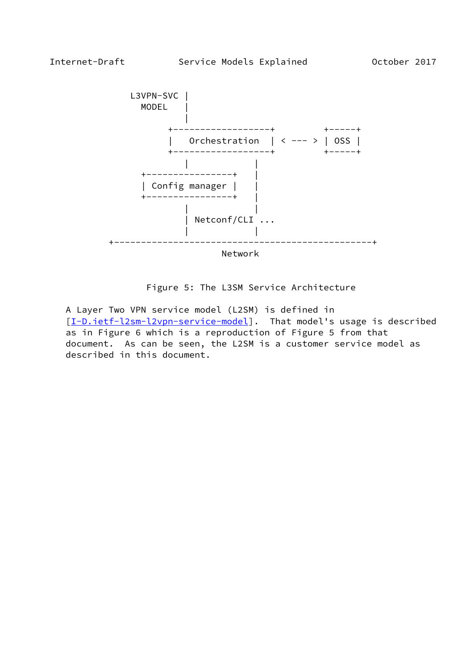

Figure 5: The L3SM Service Architecture

 A Layer Two VPN service model (L2SM) is defined in [\[I-D.ietf-l2sm-l2vpn-service-model](#page-24-2)]. That model's usage is described as in Figure 6 which is a reproduction of Figure 5 from that document. As can be seen, the L2SM is a customer service model as described in this document.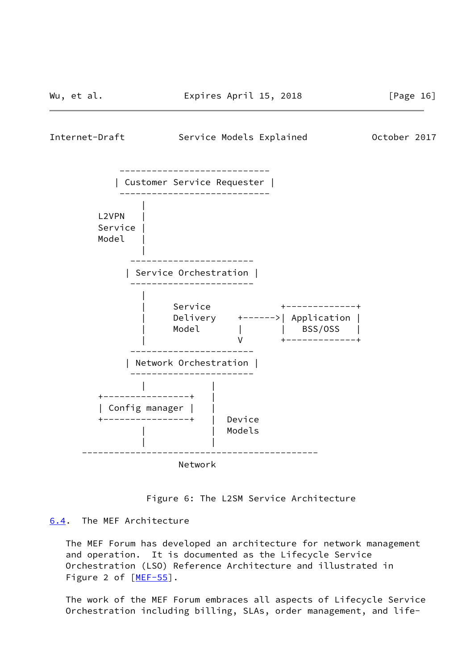<span id="page-18-1"></span>Internet-Draft Service Models Explained October 2017



Figure 6: The L2SM Service Architecture

# <span id="page-18-0"></span>[6.4](#page-18-0). The MEF Architecture

 The MEF Forum has developed an architecture for network management and operation. It is documented as the Lifecycle Service Orchestration (LSO) Reference Architecture and illustrated in Figure 2 of  $[MEF-55]$  $[MEF-55]$ .

 The work of the MEF Forum embraces all aspects of Lifecycle Service Orchestration including billing, SLAs, order management, and life-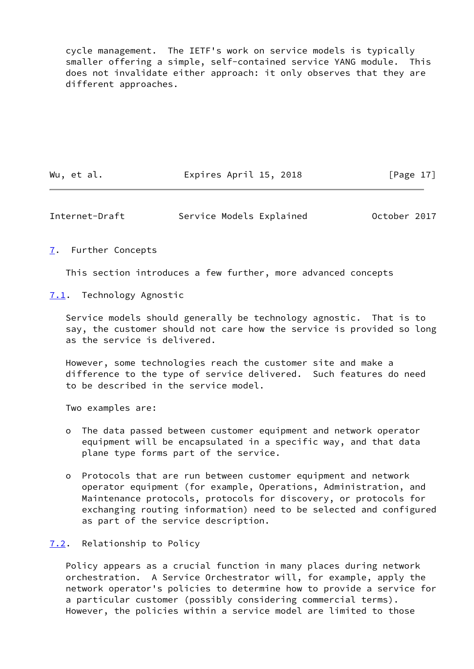cycle management. The IETF's work on service models is typically smaller offering a simple, self-contained service YANG module. This does not invalidate either approach: it only observes that they are different approaches.

Wu, et al. **Expires April 15, 2018** [Page 17]

<span id="page-19-1"></span>Internet-Draft Service Models Explained October 2017

## <span id="page-19-0"></span>[7](#page-19-0). Further Concepts

This section introduces a few further, more advanced concepts

<span id="page-19-2"></span>[7.1](#page-19-2). Technology Agnostic

 Service models should generally be technology agnostic. That is to say, the customer should not care how the service is provided so long as the service is delivered.

 However, some technologies reach the customer site and make a difference to the type of service delivered. Such features do need to be described in the service model.

Two examples are:

- o The data passed between customer equipment and network operator equipment will be encapsulated in a specific way, and that data plane type forms part of the service.
- o Protocols that are run between customer equipment and network operator equipment (for example, Operations, Administration, and Maintenance protocols, protocols for discovery, or protocols for exchanging routing information) need to be selected and configured as part of the service description.

# <span id="page-19-3"></span>[7.2](#page-19-3). Relationship to Policy

 Policy appears as a crucial function in many places during network orchestration. A Service Orchestrator will, for example, apply the network operator's policies to determine how to provide a service for a particular customer (possibly considering commercial terms). However, the policies within a service model are limited to those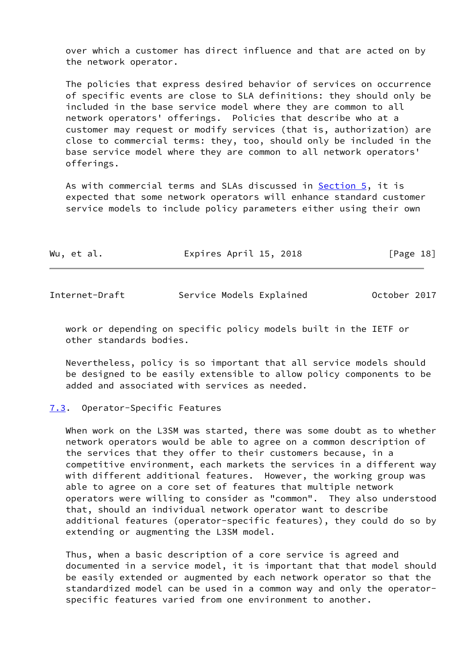over which a customer has direct influence and that are acted on by the network operator.

 The policies that express desired behavior of services on occurrence of specific events are close to SLA definitions: they should only be included in the base service model where they are common to all network operators' offerings. Policies that describe who at a customer may request or modify services (that is, authorization) are close to commercial terms: they, too, should only be included in the base service model where they are common to all network operators' offerings.

 As with commercial terms and SLAs discussed in [Section 5,](#page-11-0) it is expected that some network operators will enhance standard customer service models to include policy parameters either using their own

| Wu, et al. | Expires April 15, 2018 | [Page 18] |  |
|------------|------------------------|-----------|--|
|            |                        |           |  |

<span id="page-20-1"></span>

| Internet-Draft |  |
|----------------|--|
|                |  |

Service Models Explained 0ctober 2017

 work or depending on specific policy models built in the IETF or other standards bodies.

 Nevertheless, policy is so important that all service models should be designed to be easily extensible to allow policy components to be added and associated with services as needed.

## <span id="page-20-0"></span>[7.3](#page-20-0). Operator-Specific Features

 When work on the L3SM was started, there was some doubt as to whether network operators would be able to agree on a common description of the services that they offer to their customers because, in a competitive environment, each markets the services in a different way with different additional features. However, the working group was able to agree on a core set of features that multiple network operators were willing to consider as "common". They also understood that, should an individual network operator want to describe additional features (operator-specific features), they could do so by extending or augmenting the L3SM model.

 Thus, when a basic description of a core service is agreed and documented in a service model, it is important that that model should be easily extended or augmented by each network operator so that the standardized model can be used in a common way and only the operator specific features varied from one environment to another.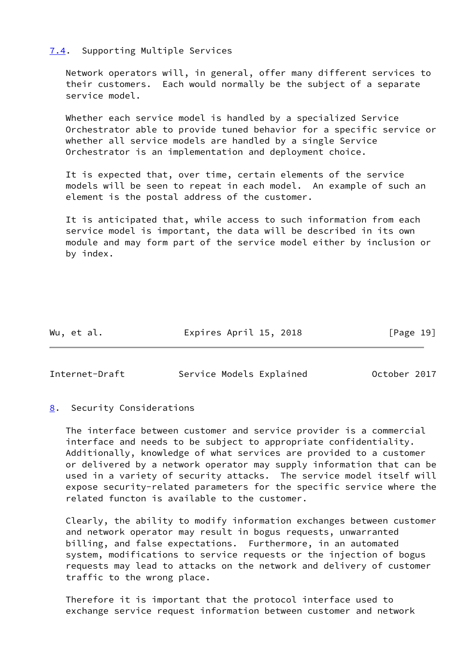## <span id="page-21-0"></span>[7.4](#page-21-0). Supporting Multiple Services

 Network operators will, in general, offer many different services to their customers. Each would normally be the subject of a separate service model.

 Whether each service model is handled by a specialized Service Orchestrator able to provide tuned behavior for a specific service or whether all service models are handled by a single Service Orchestrator is an implementation and deployment choice.

 It is expected that, over time, certain elements of the service models will be seen to repeat in each model. An example of such an element is the postal address of the customer.

 It is anticipated that, while access to such information from each service model is important, the data will be described in its own module and may form part of the service model either by inclusion or by index.

Wu, et al. **Expires April 15, 2018** [Page 19]

<span id="page-21-2"></span>Internet-Draft Service Models Explained October 2017

## <span id="page-21-1"></span>[8](#page-21-1). Security Considerations

 The interface between customer and service provider is a commercial interface and needs to be subject to appropriate confidentiality. Additionally, knowledge of what services are provided to a customer or delivered by a network operator may supply information that can be used in a variety of security attacks. The service model itself will expose security-related parameters for the specific service where the related functon is available to the customer.

 Clearly, the ability to modify information exchanges between customer and network operator may result in bogus requests, unwarranted billing, and false expectations. Furthermore, in an automated system, modifications to service requests or the injection of bogus requests may lead to attacks on the network and delivery of customer traffic to the wrong place.

 Therefore it is important that the protocol interface used to exchange service request information between customer and network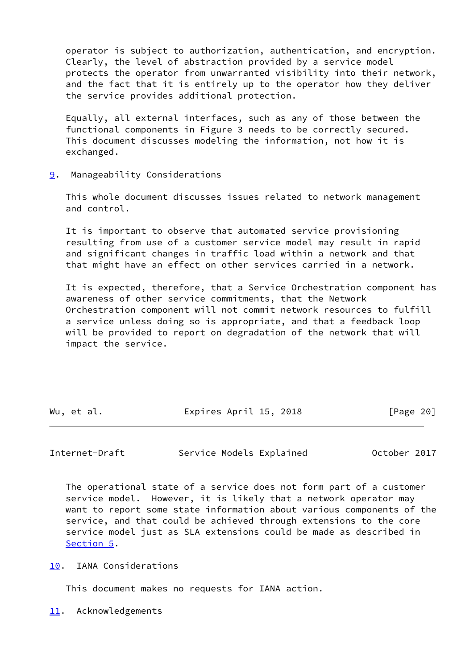operator is subject to authorization, authentication, and encryption. Clearly, the level of abstraction provided by a service model protects the operator from unwarranted visibility into their network, and the fact that it is entirely up to the operator how they deliver the service provides additional protection.

 Equally, all external interfaces, such as any of those between the functional components in Figure 3 needs to be correctly secured. This document discusses modeling the information, not how it is exchanged.

<span id="page-22-0"></span>[9](#page-22-0). Manageability Considerations

 This whole document discusses issues related to network management and control.

 It is important to observe that automated service provisioning resulting from use of a customer service model may result in rapid and significant changes in traffic load within a network and that that might have an effect on other services carried in a network.

 It is expected, therefore, that a Service Orchestration component has awareness of other service commitments, that the Network Orchestration component will not commit network resources to fulfill a service unless doing so is appropriate, and that a feedback loop will be provided to report on degradation of the network that will impact the service.

| Wu, et al. | Expires April 15, 2018 | [Page 20] |
|------------|------------------------|-----------|
|            |                        |           |

<span id="page-22-2"></span>Internet-Draft Service Models Explained October 2017

 The operational state of a service does not form part of a customer service model. However, it is likely that a network operator may want to report some state information about various components of the service, and that could be achieved through extensions to the core service model just as SLA extensions could be made as described in [Section 5](#page-11-0).

<span id="page-22-1"></span>[10.](#page-22-1) IANA Considerations

This document makes no requests for IANA action.

<span id="page-22-3"></span>[11.](#page-22-3) Acknowledgements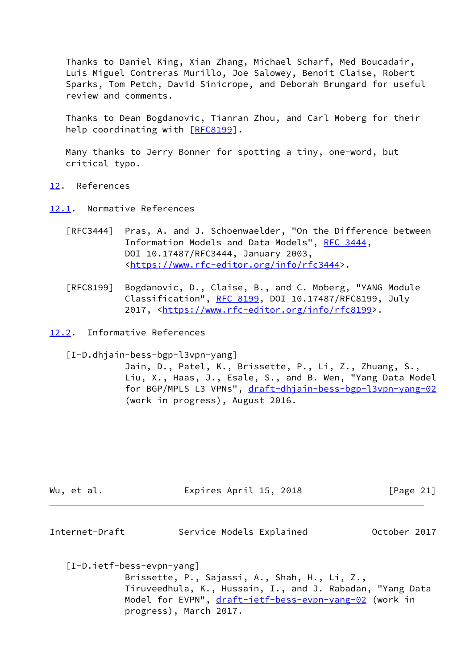Thanks to Daniel King, Xian Zhang, Michael Scharf, Med Boucadair, Luis Miguel Contreras Murillo, Joe Salowey, Benoit Claise, Robert Sparks, Tom Petch, David Sinicrope, and Deborah Brungard for useful review and comments.

 Thanks to Dean Bogdanovic, Tianran Zhou, and Carl Moberg for their help coordinating with [\[RFC8199](https://datatracker.ietf.org/doc/pdf/rfc8199)].

 Many thanks to Jerry Bonner for spotting a tiny, one-word, but critical typo.

- <span id="page-23-0"></span>[12.](#page-23-0) References
- <span id="page-23-1"></span>[12.1](#page-23-1). Normative References
	- [RFC3444] Pras, A. and J. Schoenwaelder, "On the Difference between Information Models and Data Models", [RFC 3444](https://datatracker.ietf.org/doc/pdf/rfc3444), DOI 10.17487/RFC3444, January 2003, <[https://www.rfc-editor.org/info/rfc3444>](https://www.rfc-editor.org/info/rfc3444).
	- [RFC8199] Bogdanovic, D., Claise, B., and C. Moberg, "YANG Module Classification", [RFC 8199,](https://datatracker.ietf.org/doc/pdf/rfc8199) DOI 10.17487/RFC8199, July 2017, [<https://www.rfc-editor.org/info/rfc8199](https://www.rfc-editor.org/info/rfc8199)>.

<span id="page-23-2"></span>[12.2](#page-23-2). Informative References

<span id="page-23-3"></span>[I-D.dhjain-bess-bgp-l3vpn-yang]

 Jain, D., Patel, K., Brissette, P., Li, Z., Zhuang, S., Liu, X., Haas, J., Esale, S., and B. Wen, "Yang Data Model for BGP/MPLS L3 VPNs", [draft-dhjain-bess-bgp-l3vpn-yang-02](https://datatracker.ietf.org/doc/pdf/draft-dhjain-bess-bgp-l3vpn-yang-02) (work in progress), August 2016.

| Wu, et al. | Expires April 15, 2018 | [Page 21] |
|------------|------------------------|-----------|
|            |                        |           |

| Internet-Draft |  |  | Service Models Explained | October 2017 |  |
|----------------|--|--|--------------------------|--------------|--|
|----------------|--|--|--------------------------|--------------|--|

<span id="page-23-4"></span>[I-D.ietf-bess-evpn-yang]

 Brissette, P., Sajassi, A., Shah, H., Li, Z., Tiruveedhula, K., Hussain, I., and J. Rabadan, "Yang Data Model for EVPN", [draft-ietf-bess-evpn-yang-02](https://datatracker.ietf.org/doc/pdf/draft-ietf-bess-evpn-yang-02) (work in progress), March 2017.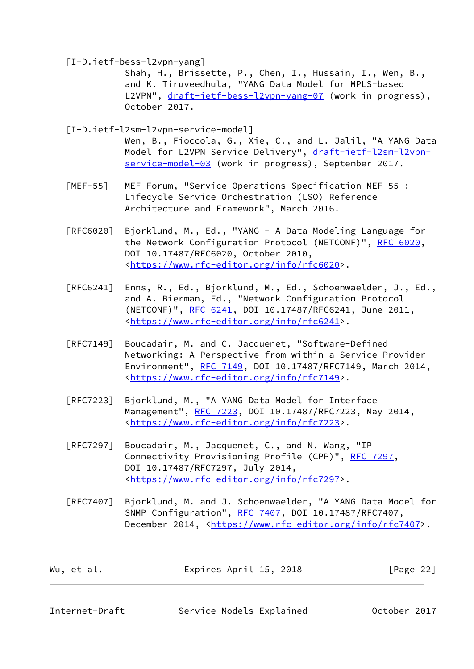<span id="page-24-1"></span>[I-D.ietf-bess-l2vpn-yang]

 Shah, H., Brissette, P., Chen, I., Hussain, I., Wen, B., and K. Tiruveedhula, "YANG Data Model for MPLS-based L2VPN", [draft-ietf-bess-l2vpn-yang-07](https://datatracker.ietf.org/doc/pdf/draft-ietf-bess-l2vpn-yang-07) (work in progress), October 2017.

<span id="page-24-2"></span> [I-D.ietf-l2sm-l2vpn-service-model] Wen, B., Fioccola, G., Xie, C., and L. Jalil, "A YANG Data Model for L2VPN Service Delivery", [draft-ietf-l2sm-l2vpn](https://datatracker.ietf.org/doc/pdf/draft-ietf-l2sm-l2vpn-service-model-03) [service-model-03](https://datatracker.ietf.org/doc/pdf/draft-ietf-l2sm-l2vpn-service-model-03) (work in progress), September 2017.

- <span id="page-24-3"></span> [MEF-55] MEF Forum, "Service Operations Specification MEF 55 : Lifecycle Service Orchestration (LSO) Reference Architecture and Framework", March 2016.
- [RFC6020] Bjorklund, M., Ed., "YANG A Data Modeling Language for the Network Configuration Protocol (NETCONF)", [RFC 6020](https://datatracker.ietf.org/doc/pdf/rfc6020), DOI 10.17487/RFC6020, October 2010, <[https://www.rfc-editor.org/info/rfc6020>](https://www.rfc-editor.org/info/rfc6020).
- [RFC6241] Enns, R., Ed., Bjorklund, M., Ed., Schoenwaelder, J., Ed., and A. Bierman, Ed., "Network Configuration Protocol (NETCONF)", [RFC 6241,](https://datatracker.ietf.org/doc/pdf/rfc6241) DOI 10.17487/RFC6241, June 2011, <[https://www.rfc-editor.org/info/rfc6241>](https://www.rfc-editor.org/info/rfc6241).
- [RFC7149] Boucadair, M. and C. Jacquenet, "Software-Defined Networking: A Perspective from within a Service Provider Environment", [RFC 7149](https://datatracker.ietf.org/doc/pdf/rfc7149), DOI 10.17487/RFC7149, March 2014, <[https://www.rfc-editor.org/info/rfc7149>](https://www.rfc-editor.org/info/rfc7149).
- [RFC7223] Bjorklund, M., "A YANG Data Model for Interface Management", [RFC 7223](https://datatracker.ietf.org/doc/pdf/rfc7223), DOI 10.17487/RFC7223, May 2014, <[https://www.rfc-editor.org/info/rfc7223>](https://www.rfc-editor.org/info/rfc7223).
- [RFC7297] Boucadair, M., Jacquenet, C., and N. Wang, "IP Connectivity Provisioning Profile (CPP)", [RFC 7297](https://datatracker.ietf.org/doc/pdf/rfc7297), DOI 10.17487/RFC7297, July 2014, <[https://www.rfc-editor.org/info/rfc7297>](https://www.rfc-editor.org/info/rfc7297).
- [RFC7407] Bjorklund, M. and J. Schoenwaelder, "A YANG Data Model for SNMP Configuration", [RFC 7407](https://datatracker.ietf.org/doc/pdf/rfc7407), DOI 10.17487/RFC7407, December 2014, <<https://www.rfc-editor.org/info/rfc7407>>.

| Wu, et al. | Expires April 15, 2018 | [Page 22] |
|------------|------------------------|-----------|
|            |                        |           |

<span id="page-24-0"></span>

Internet-Draft Service Models Explained October 2017